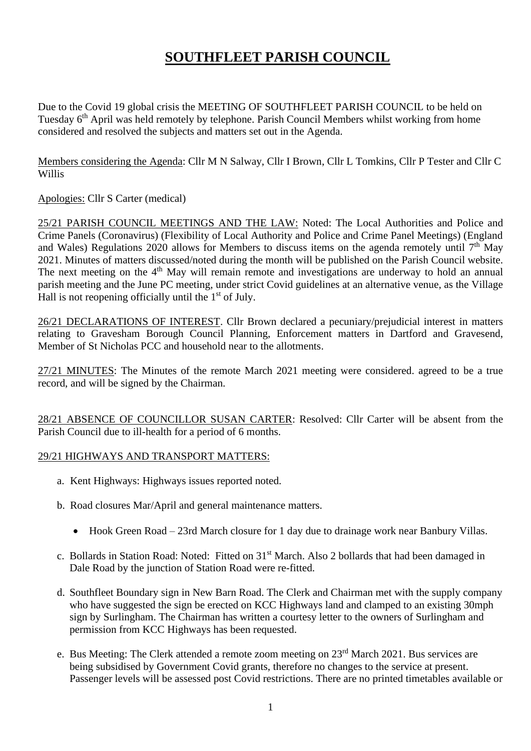# **SOUTHFLEET PARISH COUNCIL**

Due to the Covid 19 global crisis the MEETING OF SOUTHFLEET PARISH COUNCIL to be held on Tuesday 6<sup>th</sup> April was held remotely by telephone. Parish Council Members whilst working from home considered and resolved the subjects and matters set out in the Agenda.

Members considering the Agenda: Cllr M N Salway, Cllr I Brown, Cllr L Tomkins, Cllr P Tester and Cllr C Willis

Apologies: Cllr S Carter (medical)

25/21 PARISH COUNCIL MEETINGS AND THE LAW: Noted: The Local Authorities and Police and Crime Panels (Coronavirus) (Flexibility of Local Authority and Police and Crime Panel Meetings) (England and Wales) Regulations 2020 allows for Members to discuss items on the agenda remotely until  $7<sup>th</sup>$  May 2021. Minutes of matters discussed/noted during the month will be published on the Parish Council website. The next meeting on the 4<sup>th</sup> May will remain remote and investigations are underway to hold an annual parish meeting and the June PC meeting, under strict Covid guidelines at an alternative venue, as the Village Hall is not reopening officially until the 1<sup>st</sup> of July.

26/21 DECLARATIONS OF INTEREST. Cllr Brown declared a pecuniary/prejudicial interest in matters relating to Gravesham Borough Council Planning, Enforcement matters in Dartford and Gravesend, Member of St Nicholas PCC and household near to the allotments.

27/21 MINUTES: The Minutes of the remote March 2021 meeting were considered. agreed to be a true record, and will be signed by the Chairman.

28/21 ABSENCE OF COUNCILLOR SUSAN CARTER: Resolved: Cllr Carter will be absent from the Parish Council due to ill-health for a period of 6 months.

#### 29/21 HIGHWAYS AND TRANSPORT MATTERS:

- a. Kent Highways: Highways issues reported noted.
- b. Road closures Mar/April and general maintenance matters.
	- Hook Green Road 23rd March closure for 1 day due to drainage work near Banbury Villas.
- c. Bollards in Station Road: Noted: Fitted on 31<sup>st</sup> March. Also 2 bollards that had been damaged in Dale Road by the junction of Station Road were re-fitted.
- d. Southfleet Boundary sign in New Barn Road. The Clerk and Chairman met with the supply company who have suggested the sign be erected on KCC Highways land and clamped to an existing 30mph sign by Surlingham. The Chairman has written a courtesy letter to the owners of Surlingham and permission from KCC Highways has been requested.
- e. Bus Meeting: The Clerk attended a remote zoom meeting on 23rd March 2021. Bus services are being subsidised by Government Covid grants, therefore no changes to the service at present. Passenger levels will be assessed post Covid restrictions. There are no printed timetables available or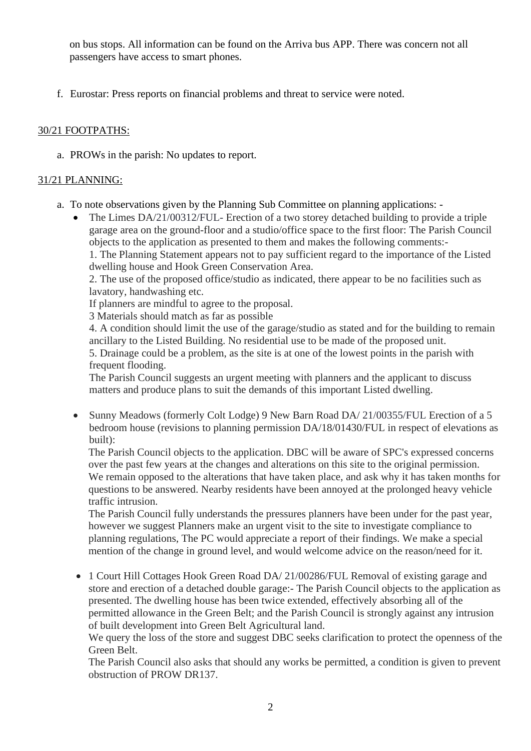on bus stops. All information can be found on the Arriva bus APP. There was concern not all passengers have access to smart phones.

f. Eurostar: Press reports on financial problems and threat to service were noted.

### 30/21 FOOTPATHS:

a. PROWs in the parish: No updates to report.

## 31/21 PLANNING:

- a. To note observations given by the Planning Sub Committee on planning applications:
	- The Limes DA/21/00312/FUL- Erection of a two storey detached building to provide a triple garage area on the ground-floor and a studio/office space to the first floor: The Parish Council objects to the application as presented to them and makes the following comments:- 1. The Planning Statement appears not to pay sufficient regard to the importance of the Listed dwelling house and Hook Green Conservation Area.

2. The use of the proposed office/studio as indicated, there appear to be no facilities such as lavatory, handwashing etc.

If planners are mindful to agree to the proposal.

3 Materials should match as far as possible

4. A condition should limit the use of the garage/studio as stated and for the building to remain ancillary to the Listed Building. No residential use to be made of the proposed unit. 5. Drainage could be a problem, as the site is at one of the lowest points in the parish with frequent flooding.

The Parish Council suggests an urgent meeting with planners and the applicant to discuss matters and produce plans to suit the demands of this important Listed dwelling.

• Sunny Meadows (formerly Colt Lodge) 9 New Barn Road DA/ 21/00355/FUL Erection of a 5 bedroom house (revisions to planning permission DA/18/01430/FUL in respect of elevations as built):

The Parish Council objects to the application. DBC will be aware of SPC's expressed concerns over the past few years at the changes and alterations on this site to the original permission. We remain opposed to the alterations that have taken place, and ask why it has taken months for questions to be answered. Nearby residents have been annoyed at the prolonged heavy vehicle traffic intrusion.

The Parish Council fully understands the pressures planners have been under for the past year, however we suggest Planners make an urgent visit to the site to investigate compliance to planning regulations, The PC would appreciate a report of their findings. We make a special mention of the change in ground level, and would welcome advice on the reason/need for it.

• 1 Court Hill Cottages Hook Green Road DA/ 21/00286/FUL Removal of existing garage and store and erection of a detached double garage:- The Parish Council objects to the application as presented. The dwelling house has been twice extended, effectively absorbing all of the permitted allowance in the Green Belt; and the Parish Council is strongly against any intrusion of built development into Green Belt Agricultural land.

We query the loss of the store and suggest DBC seeks clarification to protect the openness of the Green Belt.

The Parish Council also asks that should any works be permitted, a condition is given to prevent obstruction of PROW DR137.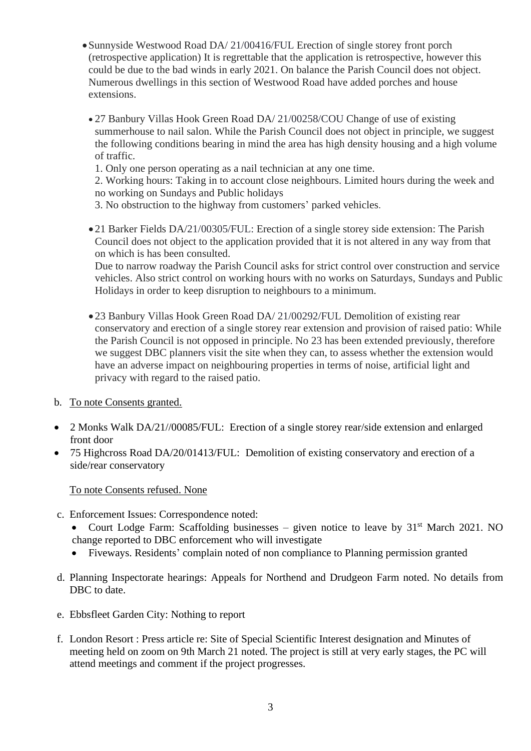- Sunnyside Westwood Road DA/ 21/00416/FUL Erection of single storey front porch (retrospective application) It is regrettable that the application is retrospective, however this could be due to the bad winds in early 2021. On balance the Parish Council does not object. Numerous dwellings in this section of Westwood Road have added porches and house extensions.
	- 27 Banbury Villas Hook Green Road DA/ 21/00258/COU Change of use of existing summerhouse to nail salon. While the Parish Council does not object in principle, we suggest the following conditions bearing in mind the area has high density housing and a high volume of traffic.
		- 1. Only one person operating as a nail technician at any one time.

2. Working hours: Taking in to account close neighbours. Limited hours during the week and no working on Sundays and Public holidays

- 3. No obstruction to the highway from customers' parked vehicles.
- 21 Barker Fields DA/21/00305/FUL: Erection of a single storey side extension: The Parish Council does not object to the application provided that it is not altered in any way from that on which is has been consulted.

Due to narrow roadway the Parish Council asks for strict control over construction and service vehicles. Also strict control on working hours with no works on Saturdays, Sundays and Public Holidays in order to keep disruption to neighbours to a minimum.

- 23 Banbury Villas Hook Green Road DA/ 21/00292/FUL Demolition of existing rear conservatory and erection of a single storey rear extension and provision of raised patio: While the Parish Council is not opposed in principle. No 23 has been extended previously, therefore we suggest DBC planners visit the site when they can, to assess whether the extension would have an adverse impact on neighbouring properties in terms of noise, artificial light and privacy with regard to the raised patio.
- b. To note Consents granted.
- 2 Monks Walk DA/21//00085/FUL: Erection of a single storey rear/side extension and enlarged front door
- 75 Highcross Road DA/20/01413/FUL: Demolition of existing conservatory and erection of a side/rear conservatory

#### To note Consents refused. None

- c. Enforcement Issues: Correspondence noted:
	- Court Lodge Farm: Scaffolding businesses given notice to leave by  $31<sup>st</sup>$  March 2021. NO change reported to DBC enforcement who will investigate
	- Fiveways. Residents' complain noted of non compliance to Planning permission granted
- d. Planning Inspectorate hearings: Appeals for Northend and Drudgeon Farm noted. No details from DBC to date.
- e. Ebbsfleet Garden City: Nothing to report
- f. London Resort : Press article re: Site of Special Scientific Interest designation and Minutes of meeting held on zoom on 9th March 21 noted. The project is still at very early stages, the PC will attend meetings and comment if the project progresses.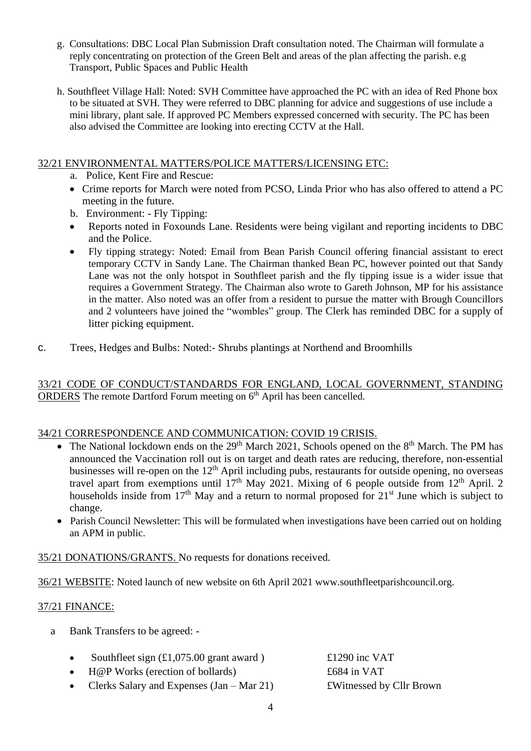- g. Consultations: DBC Local Plan Submission Draft consultation noted. The Chairman will formulate a reply concentrating on protection of the Green Belt and areas of the plan affecting the parish. e.g Transport, Public Spaces and Public Health
- h. Southfleet Village Hall: Noted: SVH Committee have approached the PC with an idea of Red Phone box to be situated at SVH. They were referred to DBC planning for advice and suggestions of use include a mini library, plant sale. If approved PC Members expressed concerned with security. The PC has been also advised the Committee are looking into erecting CCTV at the Hall.

#### 32/21 ENVIRONMENTAL MATTERS/POLICE MATTERS/LICENSING ETC:

- a. Police, Kent Fire and Rescue:
- Crime reports for March were noted from PCSO, Linda Prior who has also offered to attend a PC meeting in the future.
- b. Environment: Fly Tipping:
- Reports noted in Foxounds Lane. Residents were being vigilant and reporting incidents to DBC and the Police.
- Fly tipping strategy: Noted: Email from Bean Parish Council offering financial assistant to erect temporary CCTV in Sandy Lane. The Chairman thanked Bean PC, however pointed out that Sandy Lane was not the only hotspot in Southfleet parish and the fly tipping issue is a wider issue that requires a Government Strategy. The Chairman also wrote to Gareth Johnson, MP for his assistance in the matter. Also noted was an offer from a resident to pursue the matter with Brough Councillors and 2 volunteers have joined the "wombles" group. The Clerk has reminded DBC for a supply of litter picking equipment.
- c. Trees, Hedges and Bulbs: Noted:- Shrubs plantings at Northend and Broomhills

33/21 CODE OF CONDUCT/STANDARDS FOR ENGLAND, LOCAL GOVERNMENT, STANDING ORDERS The remote Dartford Forum meeting on 6<sup>th</sup> April has been cancelled.

#### 34/21 CORRESPONDENCE AND COMMUNICATION: COVID 19 CRISIS.

- The National lockdown ends on the  $29<sup>th</sup>$  March 2021, Schools opened on the  $8<sup>th</sup>$  March. The PM has announced the Vaccination roll out is on target and death rates are reducing, therefore, non-essential businesses will re-open on the 12<sup>th</sup> April including pubs, restaurants for outside opening, no overseas travel apart from exemptions until  $17<sup>th</sup>$  May 2021. Mixing of 6 people outside from  $12<sup>th</sup>$  April. 2 households inside from  $17<sup>th</sup>$  May and a return to normal proposed for  $21<sup>st</sup>$  June which is subject to change.
- Parish Council Newsletter: This will be formulated when investigations have been carried out on holding an APM in public.

35/21 DONATIONS/GRANTS. No requests for donations received.

36/21 WEBSITE: Noted launch of new website on 6th April 2021 www.southfleetparishcouncil.org.

#### 37/21 FINANCE:

- a Bank Transfers to be agreed: -
	- Southfleet sign (£1,075.00 grant award )  $\pounds 1290$  inc VAT
	- H@P Works (erection of bollards) £684 in VAT
	- Clerks Salary and Expenses (Jan Mar 21) **EWitnessed by Cllr Brown**
-